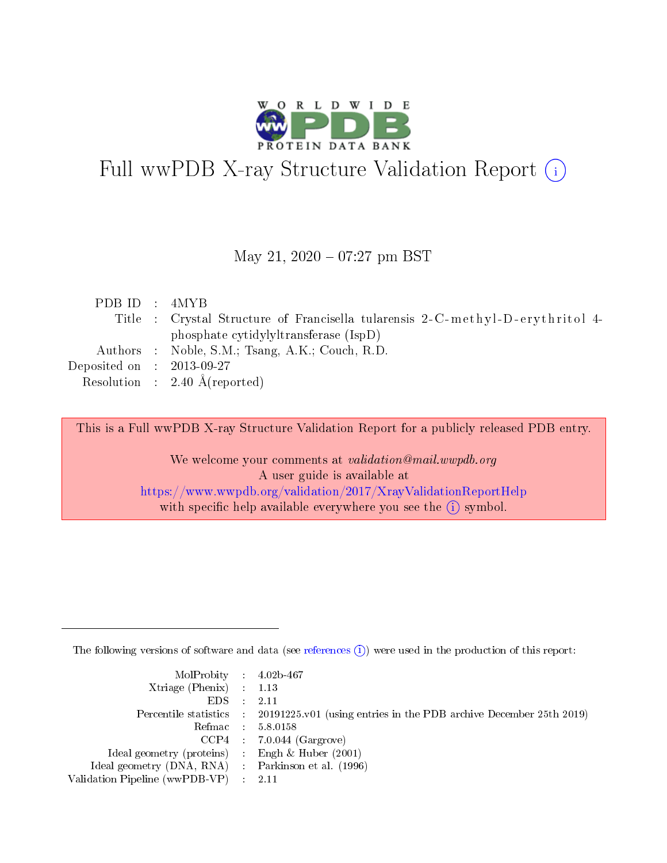

# Full wwPDB X-ray Structure Validation Report (i)

#### May 21,  $2020 - 07:27$  pm BST

| PDBID : 4MYB                                                                   |  |
|--------------------------------------------------------------------------------|--|
| Title : Crystal Structure of Francisella tularensis 2-C-methyl-D-erythritol 4- |  |
| phosphate cytidylyltransferase (IspD)                                          |  |
| Authors : Noble, S.M.; Tsang, A.K.; Couch, R.D.                                |  |
| Deposited on $\therefore$ 2013-09-27                                           |  |
| Resolution : $2.40 \text{ Å}$ (reported)                                       |  |

This is a Full wwPDB X-ray Structure Validation Report for a publicly released PDB entry.

We welcome your comments at validation@mail.wwpdb.org A user guide is available at <https://www.wwpdb.org/validation/2017/XrayValidationReportHelp> with specific help available everywhere you see the  $(i)$  symbol.

The following versions of software and data (see [references](https://www.wwpdb.org/validation/2017/XrayValidationReportHelp#references)  $(i)$ ) were used in the production of this report:

| MolProbity : 4.02b-467                              |                                                                                            |
|-----------------------------------------------------|--------------------------------------------------------------------------------------------|
| Xtriage (Phenix) $: 1.13$                           |                                                                                            |
| $EDS = 2.11$                                        |                                                                                            |
|                                                     | Percentile statistics : 20191225.v01 (using entries in the PDB archive December 25th 2019) |
|                                                     | Refmac : 5.8.0158                                                                          |
|                                                     | $CCP4$ : 7.0.044 (Gargrove)                                                                |
| Ideal geometry (proteins) : Engh $\&$ Huber (2001)  |                                                                                            |
| Ideal geometry (DNA, RNA) : Parkinson et al. (1996) |                                                                                            |
| Validation Pipeline (wwPDB-VP) : 2.11               |                                                                                            |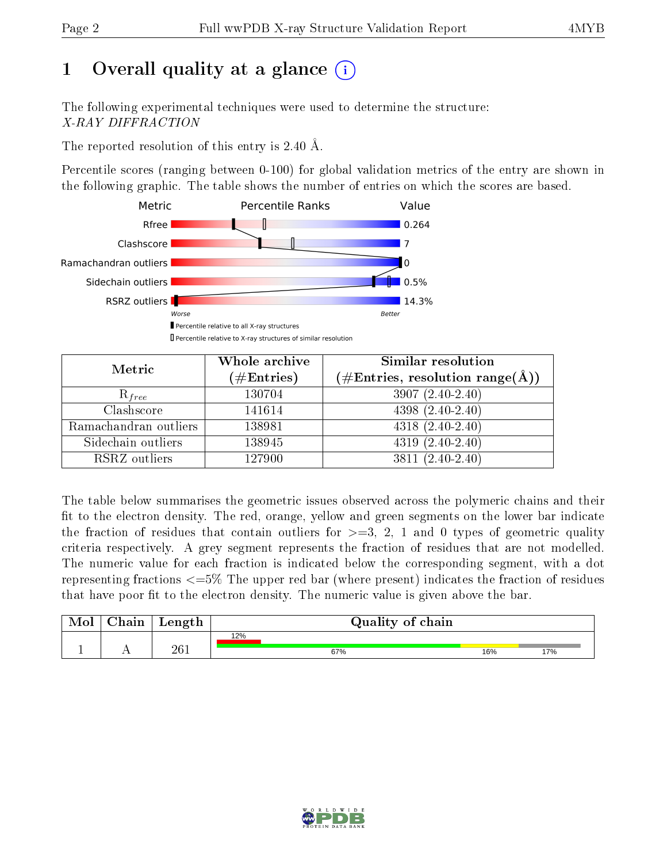# 1 [O](https://www.wwpdb.org/validation/2017/XrayValidationReportHelp#overall_quality)verall quality at a glance  $(i)$

The following experimental techniques were used to determine the structure: X-RAY DIFFRACTION

The reported resolution of this entry is 2.40 Å.

Percentile scores (ranging between 0-100) for global validation metrics of the entry are shown in the following graphic. The table shows the number of entries on which the scores are based.



| Metric                | Whole archive<br>$(\#\text{Entries})$ | Similar resolution<br>(#Entries, resolution range(Å)) |
|-----------------------|---------------------------------------|-------------------------------------------------------|
| $R_{free}$            | 130704                                | $3907(2.40-2.40)$                                     |
| Clashscore            | 141614                                | $4398(2.40-2.40)$                                     |
| Ramachandran outliers | 138981                                | $4318(2.40-2.40)$                                     |
| Sidechain outliers    | 138945                                | $\overline{4319}$ $(2.40-2.40)$                       |
| RSRZ outliers         | 127900                                | $3811 (2.40 - 2.40)$                                  |

The table below summarises the geometric issues observed across the polymeric chains and their fit to the electron density. The red, orange, yellow and green segments on the lower bar indicate the fraction of residues that contain outliers for  $>=3, 2, 1$  and 0 types of geometric quality criteria respectively. A grey segment represents the fraction of residues that are not modelled. The numeric value for each fraction is indicated below the corresponding segment, with a dot representing fractions  $\epsilon=5\%$  The upper red bar (where present) indicates the fraction of residues that have poor fit to the electron density. The numeric value is given above the bar.

| Mol       | $\Delta$ hain | Length | Quality of chain |     |     |  |
|-----------|---------------|--------|------------------|-----|-----|--|
|           |               |        | 12%              |     |     |  |
| <u>д.</u> | . .           | 261    | 67%              | 16% | 17% |  |

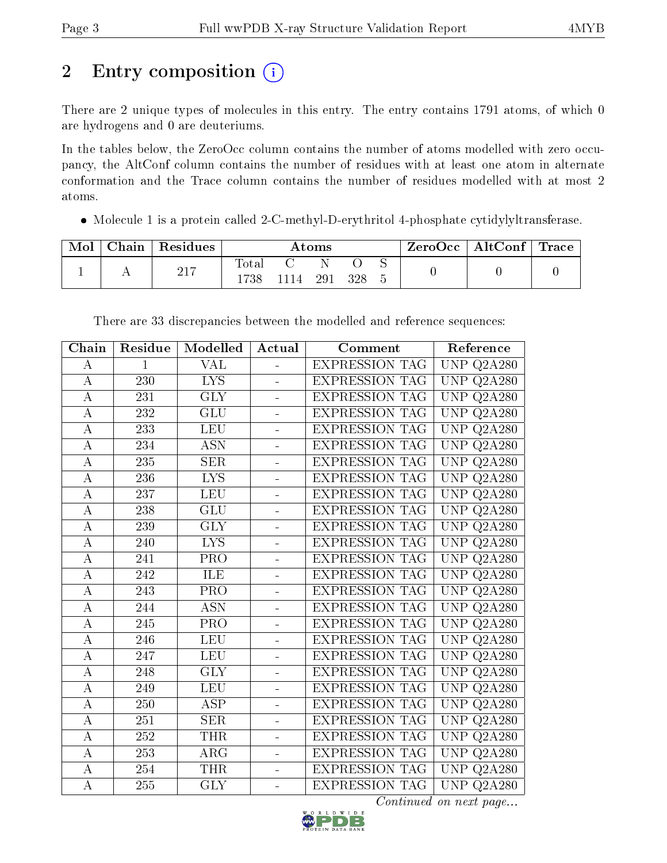# 2 Entry composition (i)

There are 2 unique types of molecules in this entry. The entry contains 1791 atoms, of which 0 are hydrogens and 0 are deuteriums.

In the tables below, the ZeroOcc column contains the number of atoms modelled with zero occupancy, the AltConf column contains the number of residues with at least one atom in alternate conformation and the Trace column contains the number of residues modelled with at most 2 atoms.

• Molecule 1 is a protein called 2-C-methyl-D-erythritol 4-phosphate cytidylyltransferase.

| Mol | Chain | $\mid$ Residues | $\rm{Atoms}$ |     |      | $\text{ZeroOcc} \mid \text{AltConf} \mid \text{Trace}$ |  |  |  |
|-----|-------|-----------------|--------------|-----|------|--------------------------------------------------------|--|--|--|
|     |       | $-217$<br>211   | $\rm Total$  | 114 | -291 | 328                                                    |  |  |  |

| Chain              | Residue          | Modelled                  | Actual                   | Comment               | Reference                      |
|--------------------|------------------|---------------------------|--------------------------|-----------------------|--------------------------------|
| A                  | $\mathbf{1}$     | VAL                       |                          | <b>EXPRESSION TAG</b> | $\overline{\text{UNP}}$ Q2A280 |
| $\bf{A}$           | 230              | <b>LYS</b>                |                          | <b>EXPRESSION TAG</b> | UNP<br>Q2A280                  |
| $\overline{A}$     | 231              | $\overline{\text{GLY}}$   | $\blacksquare$           | <b>EXPRESSION TAG</b> | $\overline{\text{UNP}}$ Q2A280 |
| $\boldsymbol{A}$   | 232              | <b>GLU</b>                | $\frac{1}{2}$            | <b>EXPRESSION TAG</b> | UNP<br>Q2A280                  |
| $\bf{A}$           | $\overline{233}$ | <b>LEU</b>                | L.                       | <b>EXPRESSION TAG</b> | <b>UNP</b><br>Q2A280           |
| $\boldsymbol{A}$   | 234              | <b>ASN</b>                | $\frac{1}{2}$            | <b>EXPRESSION TAG</b> | <b>UNP</b><br>Q2A280           |
| $\boldsymbol{A}$   | 235              | <b>SER</b>                | $\blacksquare$           | <b>EXPRESSION TAG</b> | UNP<br>Q2A280                  |
| А                  | 236              | <b>LYS</b>                |                          | <b>EXPRESSION TAG</b> | <b>UNP</b><br>Q2A280           |
| $\bf{A}$           | 237              | <b>LEU</b>                | $\frac{1}{2}$            | <b>EXPRESSION TAG</b> | <b>UNP Q2A280</b>              |
| $\overline{A}$     | 238              | $\overline{\mathrm{GLU}}$ | $\blacksquare$           | <b>EXPRESSION TAG</b> | UNP<br>Q2A280                  |
| А                  | 239              | <b>GLY</b>                |                          | <b>EXPRESSION TAG</b> | <b>UNP</b><br>Q2A280           |
| $\overline{\rm A}$ | 240              | $\overline{\text{LYS}}$   | $\frac{1}{2}$            | <b>EXPRESSION TAG</b> | $\overline{\text{UNP Q2A280}}$ |
| $\boldsymbol{A}$   | 241              | PRO                       | $\overline{a}$           | <b>EXPRESSION TAG</b> | UNP<br>Q2A280                  |
| $\boldsymbol{A}$   | 242              | ILE                       |                          | <b>EXPRESSION TAG</b> | <b>UNP</b><br>Q2A280           |
| $\boldsymbol{A}$   | 243              | PRO                       | ÷,                       | <b>EXPRESSION TAG</b> | $\overline{\text{UNP Q2A280}}$ |
| $\boldsymbol{A}$   | 244              | <b>ASN</b>                | ÷                        | <b>EXPRESSION TAG</b> | UNP<br>Q2A280                  |
| $\boldsymbol{A}$   | 245              | PRO                       |                          | <b>EXPRESSION TAG</b> | <b>UNP</b><br>Q2A280           |
| $\bf{A}$           | 246              | <b>LEU</b>                | $\equiv$                 | <b>EXPRESSION TAG</b> | <b>UNP Q2A280</b>              |
| $\boldsymbol{A}$   | 247              | <b>LEU</b>                | $\overline{\phantom{0}}$ | <b>EXPRESSION TAG</b> | UNP<br>Q2A280                  |
| $\bf{A}$           | 248              | $\overline{\text{GLY}}$   |                          | <b>EXPRESSION TAG</b> | <b>UNP</b><br>Q2A280           |
| А                  | 249              | <b>LEU</b>                | ÷.                       | <b>EXPRESSION TAG</b> | $\overline{UP}$ Q2A280         |
| $\overline{A}$     | 250              | $\overline{\text{ASP}}$   | $\overline{\phantom{0}}$ | <b>EXPRESSION TAG</b> | UNP<br>Q2A280                  |
| $\boldsymbol{A}$   | 251              | <b>SER</b>                |                          | <b>EXPRESSION TAG</b> | <b>UNP</b><br>Q2A280           |
| А                  | 252              | <b>THR</b>                | ÷,                       | <b>EXPRESSION TAG</b> | UNP<br>Q2A280                  |
| $\overline{A}$     | 253              | ARG                       | ÷                        | <b>EXPRESSION TAG</b> | UNP<br>Q2A280                  |
| $\boldsymbol{A}$   | 254              | <b>THR</b>                | ÷,                       | <b>EXPRESSION TAG</b> | <b>UNP</b><br>Q2A280           |
| $\boldsymbol{A}$   | 255              | <b>GLY</b>                | $\blacksquare$           | <b>EXPRESSION TAG</b> | $\overline{\text{UNP}}$ Q2A280 |

There are 33 discrepancies between the modelled and reference sequences:

Continued on next page...

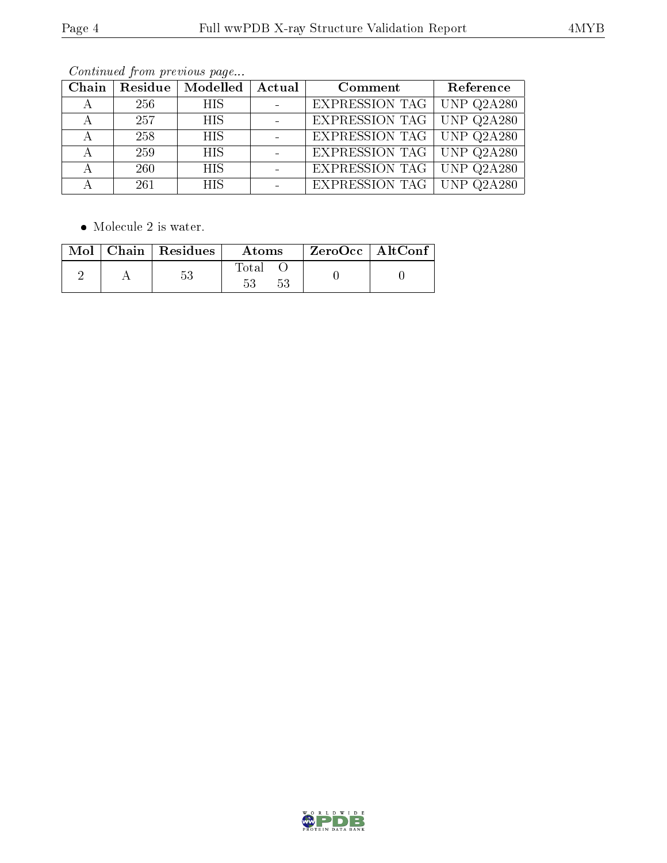| Chain | $\mid$ Residue $\mid$ | Modelled   | $\,$ Actual $^+$ | Comment                          | Reference                           |
|-------|-----------------------|------------|------------------|----------------------------------|-------------------------------------|
| А     | 256                   | <b>HIS</b> |                  | <b>EXPRESSION TAG</b>            | $\overline{\phantom{1}}$ UNP Q2A280 |
|       | 257                   | <b>HIS</b> |                  | <b>EXPRESSION TAG</b> UNP Q2A280 |                                     |
|       | 258                   | <b>HIS</b> |                  | <b>EXPRESSION TAG</b> UNP Q2A280 |                                     |
| А     | 259                   | <b>HIS</b> |                  | <b>EXPRESSION TAG</b> UNP Q2A280 |                                     |
|       | 260                   | <b>HIS</b> |                  | <b>EXPRESSION TAG</b> UNP Q2A280 |                                     |
|       | 261                   | <b>HIS</b> |                  | EXPRESSION TAG UNP $Q2A280$      |                                     |

Continued from previous page...

 $\bullet\,$  Molecule 2 is water.

|  | Mol   Chain   Residues | Atoms. | $\rm ZeroOcc$   $\rm AltConf$ |  |
|--|------------------------|--------|-------------------------------|--|
|  |                        | l'ota. |                               |  |

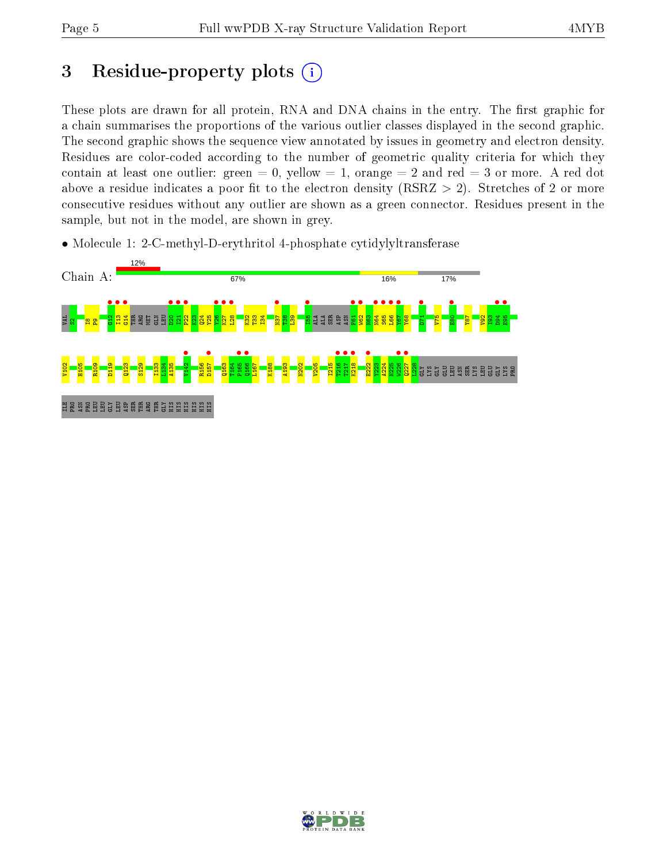# 3 Residue-property plots  $(i)$

These plots are drawn for all protein, RNA and DNA chains in the entry. The first graphic for a chain summarises the proportions of the various outlier classes displayed in the second graphic. The second graphic shows the sequence view annotated by issues in geometry and electron density. Residues are color-coded according to the number of geometric quality criteria for which they contain at least one outlier: green  $= 0$ , yellow  $= 1$ , orange  $= 2$  and red  $= 3$  or more. A red dot above a residue indicates a poor fit to the electron density (RSRZ  $> 2$ ). Stretches of 2 or more consecutive residues without any outlier are shown as a green connector. Residues present in the sample, but not in the model, are shown in grey.

• Molecule 1: 2-C-methyl-D-erythritol 4-phosphate cytidylyltransferase



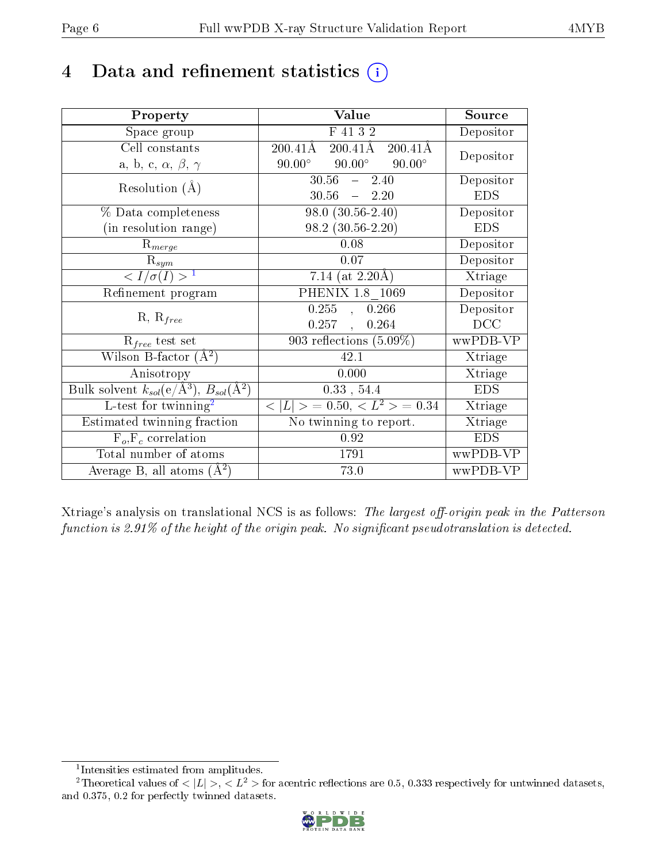# 4 Data and refinement statistics  $(i)$

| Property                                                                                        | Value                                               | Source     |
|-------------------------------------------------------------------------------------------------|-----------------------------------------------------|------------|
| Space group                                                                                     | F 41 3 2                                            | Depositor  |
| Cell constants                                                                                  | $200.41\text{\AA}$<br>200.41Å<br>$200.41\text{\AA}$ | Depositor  |
| a, b, c, $\alpha$ , $\beta$ , $\gamma$                                                          | $90.00^{\circ}$<br>$90.00^\circ$<br>$90.00^\circ$   |            |
| Resolution $(A)$                                                                                | 30.56<br>2.40<br>$\frac{1}{2}$                      | Depositor  |
|                                                                                                 | 30.56<br>$-2.20$                                    | <b>EDS</b> |
| % Data completeness                                                                             | $98.0(30.56-2.40)$                                  | Depositor  |
| (in resolution range)                                                                           | 98.2 (30.56-2.20)                                   | <b>EDS</b> |
| $R_{merge}$                                                                                     | 0.08                                                | Depositor  |
| $\mathrm{R}_{sym}$                                                                              | 0.07                                                | Depositor  |
| $\langle I/\sigma(I) \rangle$ <sup>1</sup>                                                      | 7.14 (at $2.20\text{\AA}$ )                         | Xtriage    |
| Refinement program                                                                              | PHENIX 1.8 1069                                     | Depositor  |
|                                                                                                 | $0.255$ , $0.266$                                   | Depositor  |
| $R, R_{free}$                                                                                   | $0.257$ ,<br>0.264                                  | DCC        |
| $\mathcal{R}_{free}$ test set                                                                   | 903 reflections $(5.09\%)$                          | wwPDB-VP   |
| Wilson B-factor $(A^2)$                                                                         | 42.1                                                | Xtriage    |
| Anisotropy                                                                                      | 0.000                                               | Xtriage    |
| $\overline{\mathrm{Bulk}}$ solvent $k_{sol}(\mathrm{e}/\mathrm{A}^3)$ , $B_{sol}(\mathrm{A}^2)$ | 0.33, 54.4                                          | <b>EDS</b> |
| L-test for twinning <sup>2</sup>                                                                | $< L >$ = 0.50, $< L2$ > = 0.34                     | Xtriage    |
| Estimated twinning fraction                                                                     | No twinning to report.                              | Xtriage    |
| $F_o, F_c$ correlation                                                                          | 0.92                                                | <b>EDS</b> |
| Total number of atoms                                                                           | 1791                                                | wwPDB-VP   |
| Average B, all atoms $(A^2)$                                                                    | 73.0                                                | wwPDB-VP   |

Xtriage's analysis on translational NCS is as follows: The largest off-origin peak in the Patterson function is  $2.91\%$  of the height of the origin peak. No significant pseudotranslation is detected.

<sup>&</sup>lt;sup>2</sup>Theoretical values of  $\langle |L| \rangle$ ,  $\langle L^2 \rangle$  for acentric reflections are 0.5, 0.333 respectively for untwinned datasets, and 0.375, 0.2 for perfectly twinned datasets.



<span id="page-5-1"></span><span id="page-5-0"></span><sup>1</sup> Intensities estimated from amplitudes.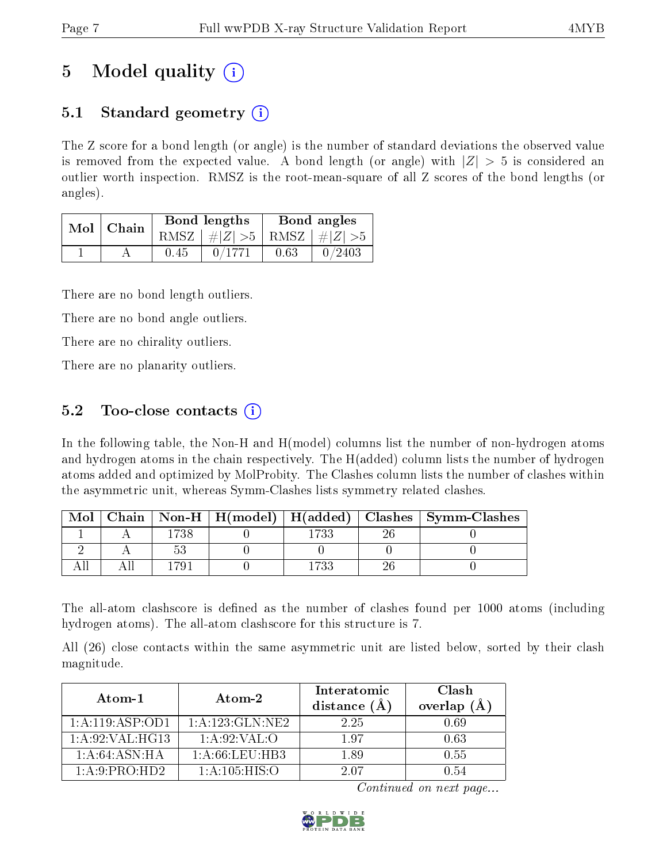# 5 Model quality  $(i)$

### 5.1 Standard geometry  $(i)$

The Z score for a bond length (or angle) is the number of standard deviations the observed value is removed from the expected value. A bond length (or angle) with  $|Z| > 5$  is considered an outlier worth inspection. RMSZ is the root-mean-square of all Z scores of the bond lengths (or angles).

| Mol   Chain |      | Bond lengths                    | Bond angles |        |  |
|-------------|------|---------------------------------|-------------|--------|--|
|             |      | RMSZ $ #Z  > 5$ RMSZ $ #Z  > 5$ |             |        |  |
|             | 0.45 | 0/1771                          | 0.63        | 0/2403 |  |

There are no bond length outliers.

There are no bond angle outliers.

There are no chirality outliers.

There are no planarity outliers.

### 5.2 Too-close contacts  $\overline{()}$

In the following table, the Non-H and H(model) columns list the number of non-hydrogen atoms and hydrogen atoms in the chain respectively. The H(added) column lists the number of hydrogen atoms added and optimized by MolProbity. The Clashes column lists the number of clashes within the asymmetric unit, whereas Symm-Clashes lists symmetry related clashes.

| Mol |      |      | Chain   Non-H   H(model)   H(added)   Clashes   Symm-Clashes |
|-----|------|------|--------------------------------------------------------------|
|     | -738 | -722 |                                                              |
|     |      |      |                                                              |
|     |      |      |                                                              |

The all-atom clashscore is defined as the number of clashes found per 1000 atoms (including hydrogen atoms). The all-atom clashscore for this structure is 7.

All (26) close contacts within the same asymmetric unit are listed below, sorted by their clash magnitude.

| Atom-1            | Atom-2              | Interatomic<br>distance $(A)$ | Clash<br>overlap $(\AA)$ |
|-------------------|---------------------|-------------------------------|--------------------------|
| 1:A:119:ASP:OD1   | 1: A: 123: GLN: NE2 | 225                           | 0.69                     |
| 1: A:92: VAL:HG13 | 1: A:92: VAL:O      | 197                           | 0.63                     |
| 1: A:64: ASN:HA   | 1: A:66:LEU:HB3     | 1.89                          | 0.55                     |
| 1:A:9:PRO:HD2     | 1: A: 105: HIS: O   | 2.07                          | O 54                     |

Continued on next page...

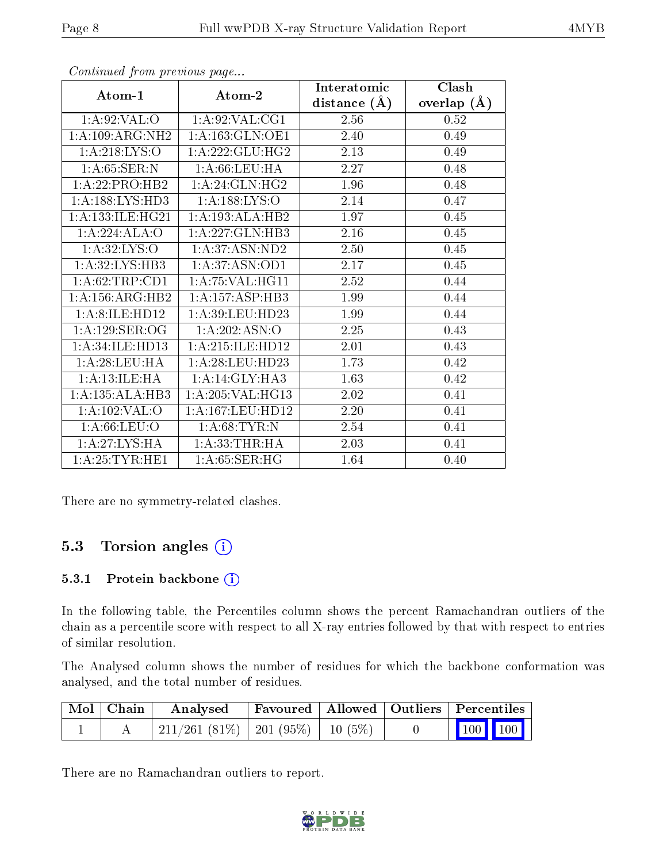|                      |                     | Interatomic    | Clash         |  |
|----------------------|---------------------|----------------|---------------|--|
| Atom-1               | Atom-2              | distance $(A)$ | overlap $(A)$ |  |
| 1: A:92:VAL:O        | 1: A:92: VAL:CG1    | 2.56           | 0.52          |  |
| 1:A:109:ARG:NH2      | 1:A:163:GLN:OE1     | 2.40           | 0.49          |  |
| 1: A:218: LYS:O      | 1: A:222: GLU:HG2   | 2.13           | 0.49          |  |
| 1: A:65:SER:N        | 1: A:66:LEU:HA      | 2.27           | 0.48          |  |
| 1:A:22:PRO:HB2       | 1: A:24: GLN: HG2   | 1.96           | 0.48          |  |
| 1: A: 188: LYS: HD3  | 1: A: 188: LYS: O   | 2.14           | 0.47          |  |
| 1: A: 133: ILE: HG21 | 1:A:193:ALA:HB2     | 1.97           | 0.45          |  |
| 1:A:224:ALA:O        | 1:A:227:GLN:HB3     | 2.16           | 0.45          |  |
| 1: A:32: LYS:O       | 1: A:37: ASN:ND2    | 2.50           | 0.45          |  |
| 1:A:32:LYS:HB3       | 1:A:37:ASN:OD1      | 2.17           | 0.45          |  |
| 1: A:62:TRP:CD1      | 1: A:75: VAL:HGI1   | 2.52           | 0.44          |  |
| 1: A: 156: ARG: HB2  | 1:A:157:ASP:HB3     | 1.99           | 0.44          |  |
| 1: A:8:ILE:HD12      | 1: A:39: LEU: HD23  | 1.99           | 0.44          |  |
| 1:A:129:SER:OG       | 1:A:202:ASN:O       | 2.25           | 0.43          |  |
| 1:A:34:ILE:HD13      | 1: A:215: ILE: HD12 | 2.01           | 0.43          |  |
| 1: A:28:LEU:HA       | 1: A:28:LEU:HD23    | 1.73           | 0.42          |  |
| 1: A: 13: ILE: HA    | 1:A:14:GLY:HA3      | 1.63           | 0.42          |  |
| 1:A:135:ALA:HB3      | 1:A:205:VAL:HG13    | 2.02           | 0.41          |  |
| 1:A:102:VAL:O        | 1:A:167:LEU:HD12    | 2.20           | 0.41          |  |
| 1: A:66:LEU:O        | 1: A:68:TYR:N       | 2.54           | 0.41          |  |
| 1:A:27:LYS:HA        | 1:A:33:THR:HA       | 2.03           | 0.41          |  |
| 1: A:25:TYR:HE1      | 1: A:65:SER:HG      | 1.64           | 0.40          |  |

Continued from previous page...

There are no symmetry-related clashes.

### 5.3 Torsion angles (i)

#### 5.3.1 Protein backbone (i)

In the following table, the Percentiles column shows the percent Ramachandran outliers of the chain as a percentile score with respect to all X-ray entries followed by that with respect to entries of similar resolution.

The Analysed column shows the number of residues for which the backbone conformation was analysed, and the total number of residues.

| Mol   Chain | Analysed                                 | Favoured   Allowed   Outliers   Percentiles |  |                         |  |
|-------------|------------------------------------------|---------------------------------------------|--|-------------------------|--|
|             | $211/261$ (81\%)   201 (95\%)   10 (5\%) |                                             |  | $\vert$ 100 100 $\vert$ |  |

There are no Ramachandran outliers to report.

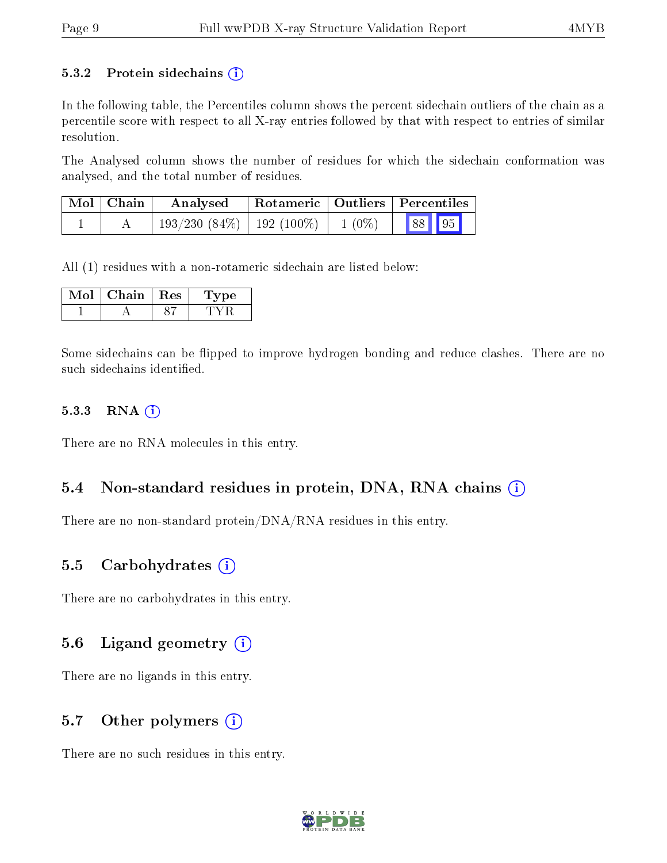#### 5.3.2 Protein sidechains  $(i)$

In the following table, the Percentiles column shows the percent sidechain outliers of the chain as a percentile score with respect to all X-ray entries followed by that with respect to entries of similar resolution.

The Analysed column shows the number of residues for which the sidechain conformation was analysed, and the total number of residues.

| Mol   Chain | Analysed                                       | Rotameric   Outliers   Percentiles |       |
|-------------|------------------------------------------------|------------------------------------|-------|
|             | $193/230$ $(84\%)$   192 $(100\%)$   1 $(0\%)$ |                                    | 88 95 |

All (1) residues with a non-rotameric sidechain are listed below:

| Chain | Res | ype |
|-------|-----|-----|
|       |     |     |

Some sidechains can be flipped to improve hydrogen bonding and reduce clashes. There are no such sidechains identified.

#### 5.3.3 RNA  $(i)$

There are no RNA molecules in this entry.

#### 5.4 Non-standard residues in protein, DNA, RNA chains  $(i)$

There are no non-standard protein/DNA/RNA residues in this entry.

#### 5.5 Carbohydrates  $(i)$

There are no carbohydrates in this entry.

#### 5.6 Ligand geometry  $(i)$

There are no ligands in this entry.

#### 5.7 [O](https://www.wwpdb.org/validation/2017/XrayValidationReportHelp#nonstandard_residues_and_ligands)ther polymers  $(i)$

There are no such residues in this entry.

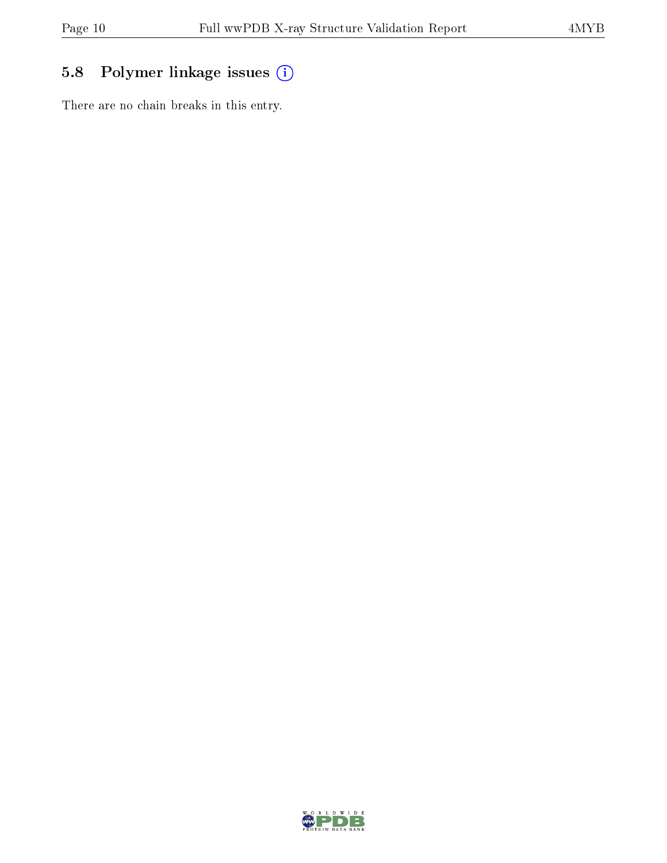### 5.8 Polymer linkage issues (i)

There are no chain breaks in this entry.

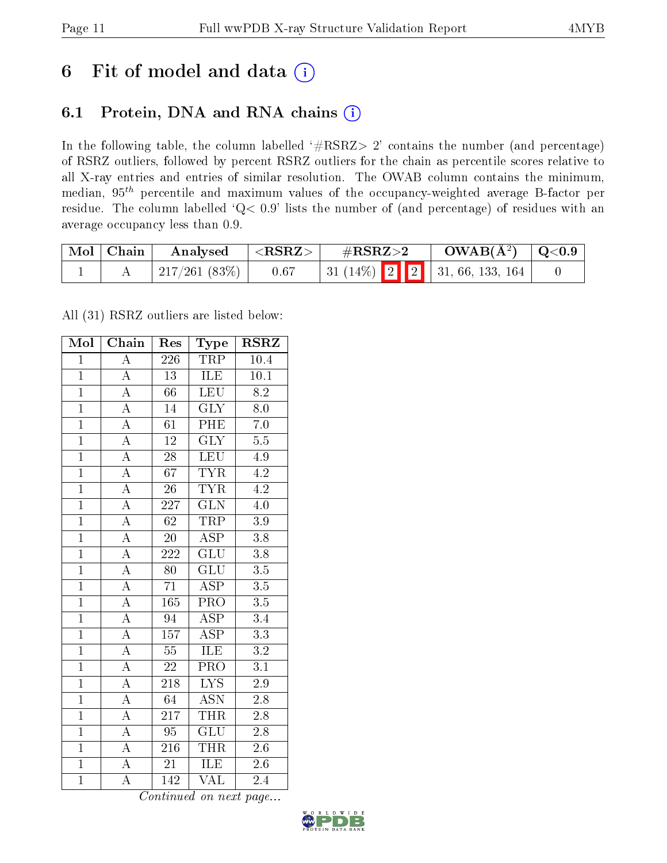# 6 Fit of model and data  $(i)$

### 6.1 Protein, DNA and RNA chains  $(i)$

In the following table, the column labelled  $#RSRZ> 2'$  contains the number (and percentage) of RSRZ outliers, followed by percent RSRZ outliers for the chain as percentile scores relative to all X-ray entries and entries of similar resolution. The OWAB column contains the minimum, median,  $95<sup>th</sup>$  percentile and maximum values of the occupancy-weighted average B-factor per residue. The column labelled ' $Q< 0.9$ ' lists the number of (and percentage) of residues with an average occupancy less than 0.9.

| $\mid$ Mol $\mid$ Chain | Analysed           | $^+$ <rsrz></rsrz> | $\rm \#RSRZ{>}2$                    | $\text{OWAB}(\AA^2)$ $\mid$ Q<0.9 |  |
|-------------------------|--------------------|--------------------|-------------------------------------|-----------------------------------|--|
|                         | $\pm 217/261(83%)$ | 0.67               | 31 (14%)   2   2   31, 66, 133, 164 |                                   |  |

All (31) RSRZ outliers are listed below:

| Mol            | Chain                   | Res              | Type                      | $\rm RSRZ$       |
|----------------|-------------------------|------------------|---------------------------|------------------|
| $\overline{1}$ | $\overline{A}$          | 226              | TRP                       | 10.4             |
| $\overline{1}$ | $\overline{A}$          | $\overline{13}$  | ILE                       | 10.1             |
| $\overline{1}$ | $\overline{A}$          | $\overline{66}$  | LEU                       | $\overline{8.2}$ |
| $\overline{1}$ | $\overline{A}$          | 14               | $\overline{\text{GLY}}$   | $\rm 8.0$        |
| $\overline{1}$ | $\overline{A}$          | $\overline{61}$  | PHE                       | $\overline{7.0}$ |
| $\overline{1}$ | $\overline{A}$          | $\overline{12}$  | $\overline{\text{GLY}}$   | $\overline{5.5}$ |
| $\overline{1}$ | $\overline{A}$          | $\overline{28}$  | <b>LEU</b>                | 4.9              |
| $\overline{1}$ | $\overline{\rm A}$      | 67               | <b>TYR</b>                | 4.2              |
| $\overline{1}$ | $\overline{A}$          | $\overline{26}$  | <b>TYR</b>                | 4.2              |
| $\overline{1}$ | $\overline{A}$          | 227              | $\overline{\text{GLN}}$   | $4.0\,$          |
| $\overline{1}$ | $\overline{\rm A}$      | $\overline{62}$  | <b>TRP</b>                | $\overline{3.9}$ |
| $\overline{1}$ | $\overline{A}$          | $\overline{20}$  | $\overline{\text{ASP}}$   | $\overline{3.8}$ |
| $\overline{1}$ | $\overline{A}$          | $\overline{222}$ | $\overline{\text{GLU}}$   | $\overline{3.8}$ |
| $\overline{1}$ | $\overline{\rm A}$      | 80               | $\overline{{\rm GLU}}$    | $\overline{3.5}$ |
| $\overline{1}$ | $\overline{A}$          | $\overline{71}$  | $\overline{\text{ASP}}$   | $\overline{3.5}$ |
| $\overline{1}$ | $\overline{A}$          | 165              | PRO                       | $\overline{3.5}$ |
| $\overline{1}$ | $\overline{\rm A}$      | $\overline{94}$  | $\overline{\rm ASP}$      | $\overline{3.4}$ |
| $\mathbf{1}$   | $\overline{A}$          | 157              | $\overline{\rm ASP}$      | $\overline{3.3}$ |
| $\overline{1}$ | $\overline{A}$          | $\overline{55}$  | ILE                       | $\overline{3.2}$ |
| $\overline{1}$ | $\overline{A}$          | $\sqrt{22}$      | $\overline{\text{PRO}}$   | $\overline{3.1}$ |
| $\overline{1}$ | $\overline{A}$          | 218              | $\overline{\text{LYS}}$   | $\overline{2.9}$ |
| $\overline{1}$ | $\overline{A}$          | $\overline{64}$  | $\overline{\mathrm{ASN}}$ | $\overline{2.8}$ |
| $\mathbf{1}$   | $\overline{A}$          | 217              | <b>THR</b>                | $2.8\,$          |
| $\overline{1}$ | $\overline{A}$          | $\overline{95}$  | $\overline{\text{GLU}}$   | $2.8\,$          |
| $\overline{1}$ | $\overline{\mathbf{A}}$ | $\overline{216}$ | <b>THR</b>                | $\overline{2.6}$ |
| $\mathbf{1}$   | $\overline{\rm A}$      | $\overline{21}$  | <b>ILE</b>                | $2.6\,$          |
| $\overline{1}$ | $\overline{\rm A}$      | 142              | $\overline{\text{VAL}}$   | 2.4              |

Continued on next page...